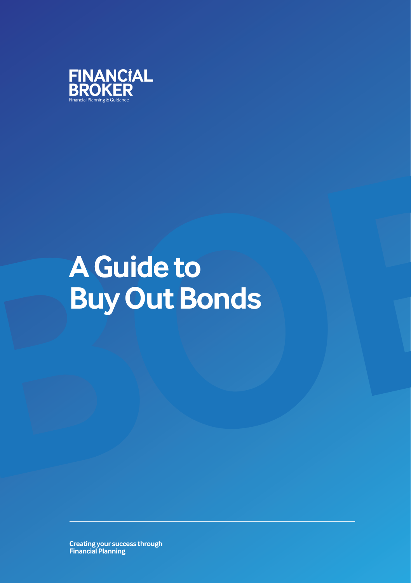

# **A Guide to Buy Out Bonds A Guide to Buy Out Bonds**

**Creating your success through Financial Planning**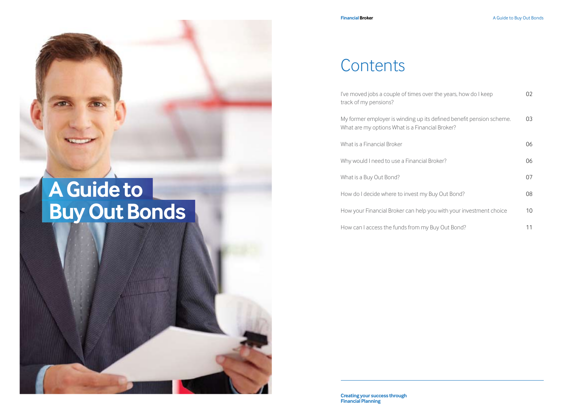#### **Contents**

| I've moved jobs a couple of times over the years, how do I keep<br>track of my pensions?                                | 02 |
|-------------------------------------------------------------------------------------------------------------------------|----|
| My former employer is winding up its defined benefit pension scheme.<br>What are my options What is a Financial Broker? | 03 |
| What is a Financial Broker                                                                                              | 06 |
| Why would I need to use a Financial Broker?                                                                             | 06 |
| What is a Buy Out Bond?                                                                                                 | 07 |
| How do I decide where to invest my Buy Out Bond?                                                                        | 08 |
| How your Financial Broker can help you with your investment choice                                                      | 10 |
| How can I access the funds from my Buy Out Bond?                                                                        | 11 |

## **A Guide to Buy Out Bonds**



**Creating your success through Financial Planning**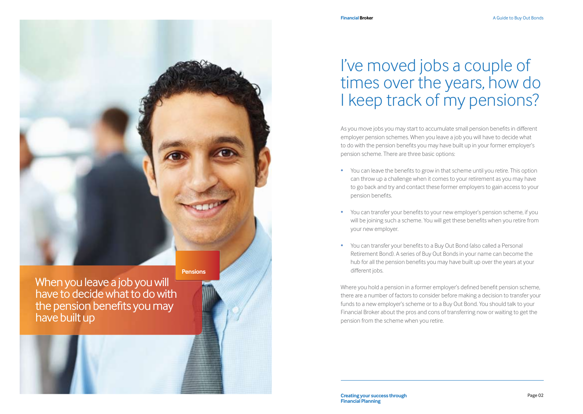

When you leave a job you will have to decide what to do with the pension benefits you may have built up

#### I've moved jobs a couple of times over the years, how do I keep track of my pensions?

As you move jobs you may start to accumulate small pension benefits in different employer pension schemes. When you leave a job you will have to decide what to do with the pension benefits you may have built up in your former employer's pension scheme. There are three basic options:

- You can leave the benefits to grow in that scheme until you retire. This option can throw up a challenge when it comes to your retirement as you may have to go back and try and contact these former employers to gain access to your pension benefits.
- You can transfer your benefits to your new employer's pension scheme, if you will be joining such a scheme. You will get these benefits when you retire from your new employer.
- You can transfer your benefits to a Buy Out Bond (also called a Personal Retirement Bond). A series of Buy Out Bonds in your name can become the hub for all the pension benefits you may have built up over the years at your different jobs.

Where you hold a pension in a former employer's defined benefit pension scheme, there are a number of factors to consider before making a decision to transfer your funds to a new employer's scheme or to a Buy Out Bond. You should talk to your Financial Broker about the pros and cons of transferring now or waiting to get the pension from the scheme when you retire.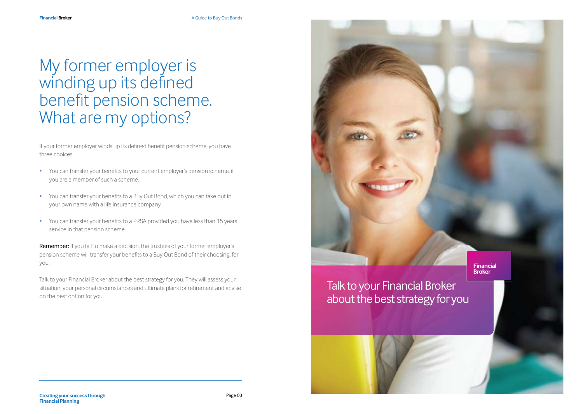#### My former employer is winding up its defined benefit pension scheme. What are my options?

If your former employer winds up its defined benefit pension scheme, you have three choices:

- You can transfer your benefits to your current employer's pension scheme, if you are a member of such a scheme.
- You can transfer your benefits to a Buy Out Bond, which you can take out in your own name with a life insurance company.
- You can transfer your benefits to a PRSA provided you have less than 15 years service in that pension scheme.

Remember: If you fail to make a decision, the trustees of your former employer's pension scheme will transfer your benefits to a Buy Out Bond of their choosing, for you.

Talk to your Financial Broker about the best strategy for you. They will assess your situation, your personal circumstances and ultimate plans for retirement and advise on the best option for you.

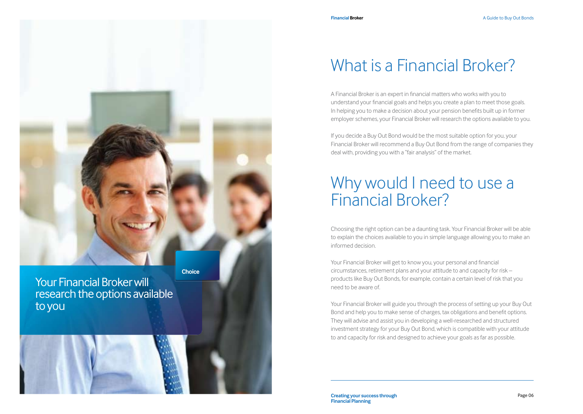

Your Financial Broker will research the options available to you



#### What is a Financial Broker?

A Financial Broker is an expert in financial matters who works with you to understand your financial goals and helps you create a plan to meet those goals. In helping you to make a decision about your pension benefits built up in former employer schemes, your Financial Broker will research the options available to you.

If you decide a Buy Out Bond would be the most suitable option for you, your Financial Broker will recommend a Buy Out Bond from the range of companies they deal with, providing you with a "fair analysis" of the market.

#### Why would I need to use a Financial Broker?

Choosing the right option can be a daunting task. Your Financial Broker will be able to explain the choices available to you in simple language allowing you to make an informed decision.

Your Financial Broker will get to know you, your personal and financial circumstances, retirement plans and your attitude to and capacity for risk – products like Buy Out Bonds, for example, contain a certain level of risk that you need to be aware of.

Your Financial Broker will guide you through the process of setting up your Buy Out Bond and help you to make sense of charges, tax obligations and benefit options. They will advise and assist you in developing a well-researched and structured investment strategy for your Buy Out Bond, which is compatible with your attitude to and capacity for risk and designed to achieve your goals as far as possible.

**Creating your success through Page 06 Financial Planning**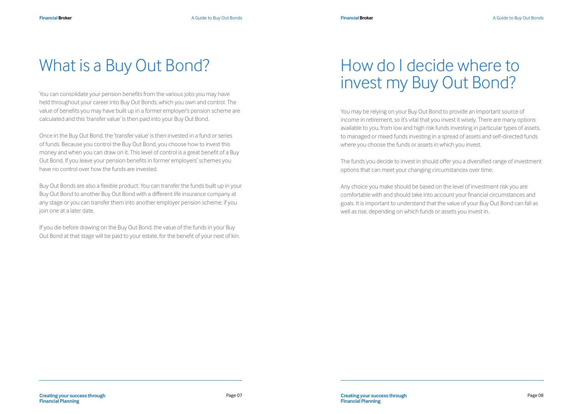#### What is a Buy Out Bond?

You can consolidate your pension benefits from the various jobs you may have held throughout your career into Buy Out Bonds, which you own and control. The value of benefits you may have built up in a former employer's pension scheme are calculated and this 'transfer value' is then paid into your Buy Out Bond.

Once in the Buy Out Bond, the 'transfer value' is then invested in a fund or series of funds. Because you control the Buy Out Bond, you choose how to invest this money and when you can draw on it. This level of control is a great benefit of a Buy Out Bond. If you leave your pension benefits in former employers' schemes you have no control over how the funds are invested.

Buy Out Bonds are also a flexible product. You can transfer the funds built up in your Buy Out Bond to another Buy Out Bond with a different life insurance company at any stage or you can transfer them into another employer pension scheme, if you join one at a later date.

If you die before drawing on the Buy Out Bond, the value of the funds in your Buy Out Bond at that stage will be paid to your estate, for the benefit of your next of kin.

#### How do I decide where to invest my Buy Out Bond?

You may be relying on your Buy Out Bond to provide an important source of income in retirement, so it's vital that you invest it wisely. There are many options available to you, from low and high risk funds investing in particular types of assets, to managed or mixed funds investing in a spread of assets and self-directed funds where you choose the funds or assets in which you invest.

The funds you decide to invest in should offer you a diversified range of investment options that can meet your changing circumstances over time.

Any choice you make should be based on the level of investment risk you are comfortable with and should take into account your financial circumstances and goals. It is important to understand that the value of your Buy Out Bond can fall as well as rise, depending on which funds or assets you invest in.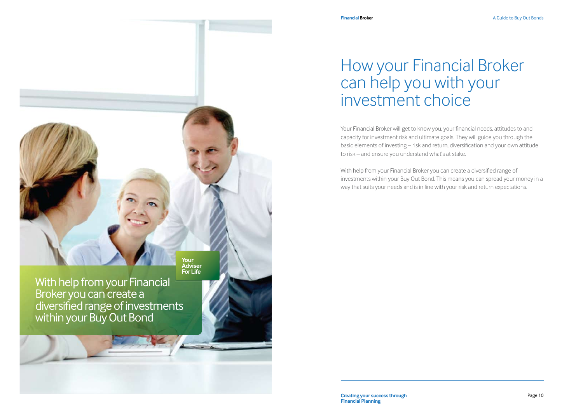

With help from your Financial Broker you can create a diversified range of investments within your Buy Out Bond

#### How your Financial Broker can help you with your investment choice

Your Financial Broker will get to know you, your financial needs, attitudes to and capacity for investment risk and ultimate goals. They will guide you through the basic elements of investing – risk and return, diversification and your own attitude to risk – and ensure you understand what's at stake.

With help from your Financial Broker you can create a diversified range of investments within your Buy Out Bond. This means you can spread your money in a way that suits your needs and is in line with your risk and return expectations.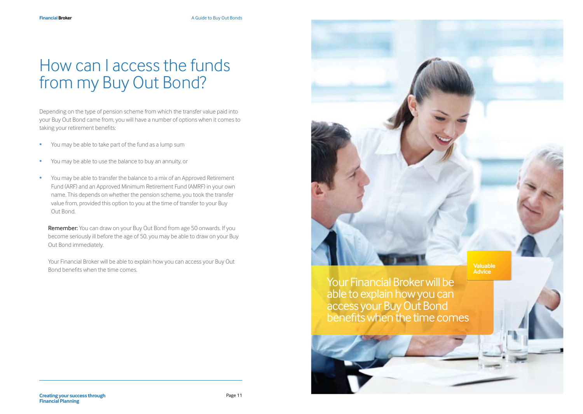### How can I access the funds from my Buy Out Bond?

Depending on the type of pension scheme from which the transfer value paid into your Buy Out Bond came from, you will have a number of options when it comes to taking your retirement benefits:

- You may be able to take part of the fund as a lump sum
- You may be able to use the balance to buy an annuity, or
- You may be able to transfer the balance to a mix of an Approved Retirement Fund (ARF) and an Approved Minimum Retirement Fund (AMRF) in your own name. This depends on whether the pension scheme, you took the transfer value from, provided this option to you at the time of transfer to your Buy Out Bond.

Remember: You can draw on your Buy Out Bond from age 50 onwards. If you become seriously ill before the age of 50, you may be able to draw on your Buy Out Bond immediately.

 Your Financial Broker will be able to explain how you can access your Buy Out Bond benefits when the time comes.

Your Financial Broker will be able to explain how you can access your Buy Out Bond benefits when the time comes **Valuable Advice**